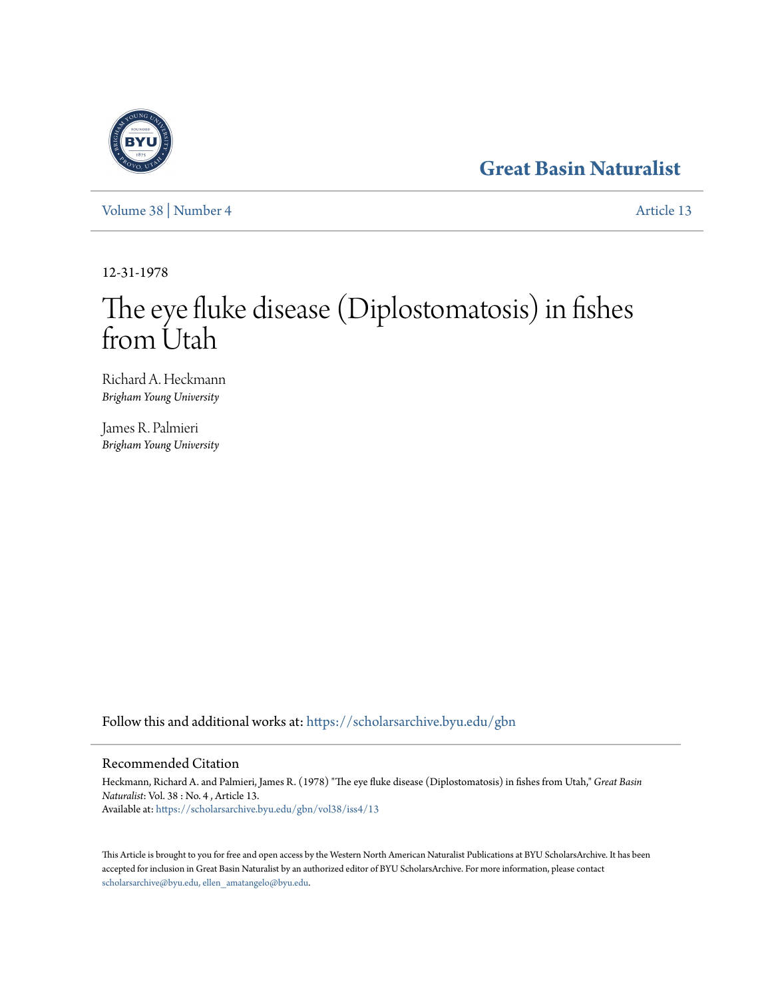# **[Great Basin Naturalist](https://scholarsarchive.byu.edu/gbn?utm_source=scholarsarchive.byu.edu%2Fgbn%2Fvol38%2Fiss4%2F13&utm_medium=PDF&utm_campaign=PDFCoverPages)**

[Volume 38](https://scholarsarchive.byu.edu/gbn/vol38?utm_source=scholarsarchive.byu.edu%2Fgbn%2Fvol38%2Fiss4%2F13&utm_medium=PDF&utm_campaign=PDFCoverPages) | [Number 4](https://scholarsarchive.byu.edu/gbn/vol38/iss4?utm_source=scholarsarchive.byu.edu%2Fgbn%2Fvol38%2Fiss4%2F13&utm_medium=PDF&utm_campaign=PDFCoverPages) [Article 13](https://scholarsarchive.byu.edu/gbn/vol38/iss4/13?utm_source=scholarsarchive.byu.edu%2Fgbn%2Fvol38%2Fiss4%2F13&utm_medium=PDF&utm_campaign=PDFCoverPages)

12-31-1978

# The eye fluke disease (Diplostomatosis) in fishes from Utah

Richard A. Heckmann *Brigham Young University*

James R. Palmieri *Brigham Young University*

Follow this and additional works at: [https://scholarsarchive.byu.edu/gbn](https://scholarsarchive.byu.edu/gbn?utm_source=scholarsarchive.byu.edu%2Fgbn%2Fvol38%2Fiss4%2F13&utm_medium=PDF&utm_campaign=PDFCoverPages)

# Recommended Citation

Heckmann, Richard A. and Palmieri, James R. (1978) "The eye fluke disease (Diplostomatosis) in fishes from Utah," *Great Basin Naturalist*: Vol. 38 : No. 4 , Article 13. Available at: [https://scholarsarchive.byu.edu/gbn/vol38/iss4/13](https://scholarsarchive.byu.edu/gbn/vol38/iss4/13?utm_source=scholarsarchive.byu.edu%2Fgbn%2Fvol38%2Fiss4%2F13&utm_medium=PDF&utm_campaign=PDFCoverPages)

This Article is brought to you for free and open access by the Western North American Naturalist Publications at BYU ScholarsArchive. It has been accepted for inclusion in Great Basin Naturalist by an authorized editor of BYU ScholarsArchive. For more information, please contact [scholarsarchive@byu.edu, ellen\\_amatangelo@byu.edu.](mailto:scholarsarchive@byu.edu,%20ellen_amatangelo@byu.edu)

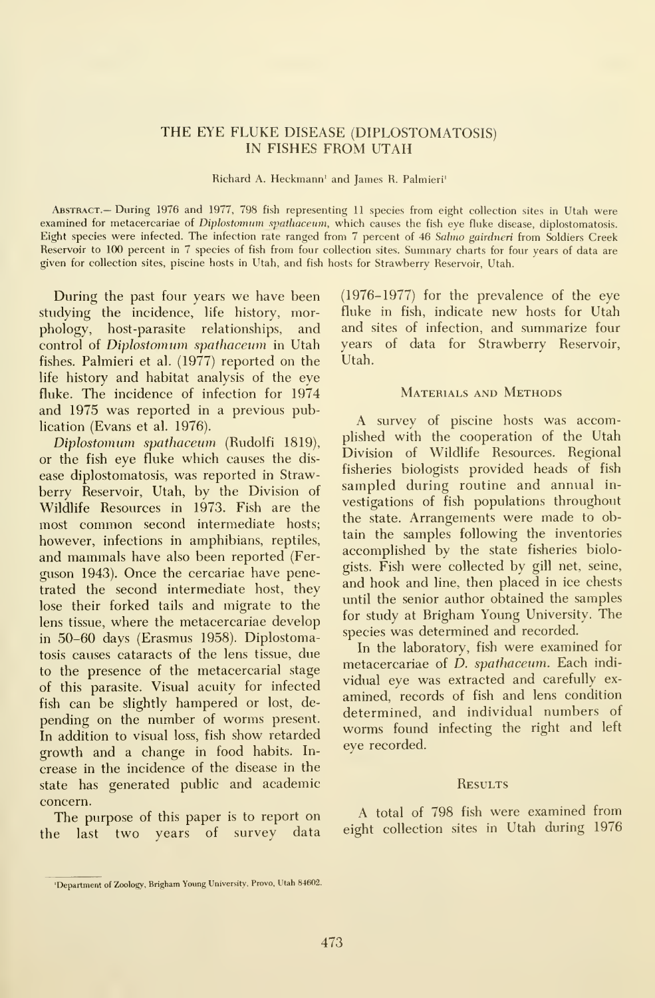# THE EYE FLUKE DISEASE (DIPLOSTOMATOSIS) IN FISHES FROM UTAH

Richard A. Heckmann' and James R. Palmieri'

Abstract.— During 1976 and 1977, 798 fish representing <sup>11</sup> species from eight collection sites in Utah were examined for metacercariae of Diplostomum spathaceum, which causes the fish eye fluke disease, diplostomatosis. Eight species were infected. The infection rate ranged from 7 percent of 46 Salmo gairdneri from Soldiers Creek Reservoir to 100 percent in 7 species of fish from four collection sites. Summary charts for four years of data are given for collection sites, piscine hosts in Utah, and fish hosts for Strawberry Reservoir, Utah.

During the past four years we have been studying the incidence, life history, morphology, host-parasite relationships, and control of Diplostomum spathaceum in Utah fishes. Palmieri et al. (1977) reported on the life history and habitat analysis of the eye fluke. The incidence of infection for 1974 and 1975 was reported in a previous publication (Evans et al. 1976).

Diplostomum spathaceum (Rudolfi 1819), or the fish eye fluke which causes the dis ease diplostomatosis, was reported in Straw berry Reservoir, Utah, by the Division of Wildlife Resources in 1973. Fish are the most common second intermediate hosts; however, infections in amphibians, reptiles, and mammals have also been reported (Ferguson 1943). Once the cercariae have penetrated the second intermediate host, they lose their forked tails and migrate to the lens tissue, where the metacercariae develop in 50-60 days (Erasmus 1958). Diplostomatosis causes cataracts of the lens tissue, due to the presence of the metacercarial stage of this parasite. Visual acuity for infected fish can be slightly hampered or lost, de pending on the number of worms present. In addition to visual loss, fish show retarded growth and a change in food habits. In crease in the incidence of the disease in the state has generated public and academic concern.

The purpose of this paper is to report on the last two years of survey data (1976-1977) for the prevalence of the eye fluke in fish, indicate new hosts for Utah and sites of infection, and summarize four years of data for Strawberry Reservoir, Utah.

# MATERIALS AND METHODS

A survey of piscine hosts was accomplished with the cooperation of the Utah Division of Wildlife Resources. Regional fisheries biologists provided heads of fish sampled during routine and annual in vestigations of fish populations throughout the state. Arrangements were made to obtain the samples following the inventories accomplished by the state fisheries biologists. Fish were collected by gill net, seine, and hook and line, then placed in ice chests until the senior author obtained the samples for study at Brigham Young University. The species was determined and recorded.

In the laboratory, fish were examined for metacercariae of *D. spathaceum*. Each individual eye was extracted and carefully ex amined, records of fish and lens condition determined, and individual numbers of worms found infecting the right and left eye recorded.

#### **RESULTS**

A total of 798 fish were examined from eight collection sites in Utah during 1976

<sup>&#</sup>x27;Department of Zoology, Brigham Young University, Prove, Utah 84602.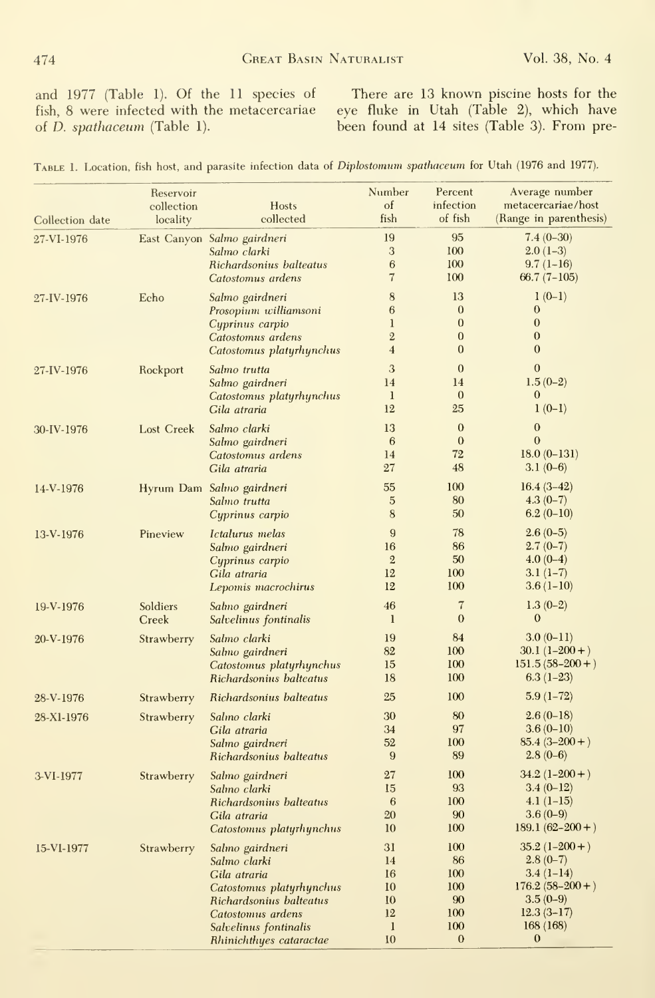and 1977 (Table 1). Of the 11 species of fish, 8 were infected with the metacercariae of D. spathaceum (Table 1).

There are 13 known piscine hosts for the eye fluke in Utah (Table 2), which have been found at 14 sites (Table 3). From pre-

| Collection date | Reservoir<br>collection<br>locality | <b>Hosts</b><br>collected                                                                                                                                                       | Number<br>$\sigma$<br>fish                                          | Percent<br>infection<br>of fish                                | Average number<br>metacercariae/host<br>(Range in parenthesis)                                                        |
|-----------------|-------------------------------------|---------------------------------------------------------------------------------------------------------------------------------------------------------------------------------|---------------------------------------------------------------------|----------------------------------------------------------------|-----------------------------------------------------------------------------------------------------------------------|
| 27-VI-1976      |                                     | East Canyon Salmo gairdneri<br>Salmo clarki<br>Richardsonius balteatus<br>Catostomus ardens                                                                                     | 19<br>3<br>6<br>7                                                   | 95<br>100<br>100<br>100                                        | $7.4(0-30)$<br>$2.0(1-3)$<br>$9.7(1-16)$<br>$66.7(7-105)$                                                             |
| 27-IV-1976      | Echo                                | Salmo gairdneri<br>Prosopium williamsoni<br>Cyprinus carpio<br>Catostomus ardens<br>Catostomus platyrhynchus                                                                    | 8<br>6<br>$\mathbf{1}$<br>$\overline{2}$<br>$\overline{\mathbf{4}}$ | 13<br>$\mathbf{0}$<br>$\mathbf{0}$<br>$\Omega$<br>$\mathbf{0}$ | $1(0-1)$<br>$\bf{0}$<br>$\mathbf{0}$<br>$\overline{0}$<br>$\boldsymbol{0}$                                            |
| 27-IV-1976      | Rockport                            | Salmo trutta<br>Salmo gairdneri<br>Catostomus platyrhynchus<br>Gila atraria                                                                                                     | 3<br>14<br>$\mathbf{I}$<br>12                                       | $\mathbf{0}$<br>14<br>$\mathbf{0}$<br>25                       | $\mathbf{0}$<br>$1.5(0-2)$<br>$\bf{0}$<br>$1(0-1)$                                                                    |
| 30-IV-1976      | <b>Lost Creek</b>                   | Salmo clarki<br>Salmo gairdneri<br>Catostomus ardens<br>Gila atraria                                                                                                            | 13<br>6<br>14<br>27                                                 | $\theta$<br>$\theta$<br>72<br>48                               | $\overline{0}$<br>$\mathbf{0}$<br>$18.0(0-131)$<br>$3.1(0-6)$                                                         |
| 14-V-1976       |                                     | Hyrum Dam Salmo gairdneri<br>Salmo trutta<br>Cyprinus carpio                                                                                                                    | 55<br>$\overline{5}$<br>8                                           | 100<br>80<br>50                                                | $16.4(3-42)$<br>$4.3(0-7)$<br>$6.2(0-10)$                                                                             |
| 13-V-1976       | Pineview                            | Ictalurus melas<br>Salmo gairdneri<br>Cyprinus carpio<br>Gila atraria<br>Lepomis macrochirus                                                                                    | 9<br>16<br>$\overline{2}$<br>12<br>12                               | 78<br>86<br>50<br>100<br>100                                   | $2.6(0-5)$<br>$2.7(0-7)$<br>$4.0(0-4)$<br>$3.1(1-7)$<br>$3.6(1-10)$                                                   |
| 19-V-1976       | Soldiers<br>Creek                   | Salmo gairdneri<br>Salvelinus fontinalis                                                                                                                                        | 46<br>$\mathbf{1}$                                                  | $\overline{7}$<br>$\mathbf{0}$                                 | $1.3(0-2)$<br>$\boldsymbol{0}$                                                                                        |
| 20-V-1976       | Strawberry                          | Salmo clarki<br>Salmo gairdneri<br>Catostomus platyrhynchus<br>Richardsonius balteatus                                                                                          | 19<br>82<br>15<br>18                                                | 84<br>100<br>100<br>100                                        | $3.0(0-11)$<br>$30.1(1-200+)$<br>$151.5(58-200+)$<br>$6.3(1-23)$                                                      |
| 28-V-1976       | Strawberry                          | Richardsonius balteatus                                                                                                                                                         | 25                                                                  | 100                                                            | $5.9(1-72)$                                                                                                           |
| 28-X1-1976      | Strawberry                          | Salmo clarki<br>Gila atraria<br>Salmo gairdneri<br>Richardsonius balteatus                                                                                                      | 30<br>34<br>52<br>9                                                 | 80<br>97<br>100<br>89                                          | $2.6(0-18)$<br>$3.6(0-10)$<br>$85.4(3-200+)$<br>$2.8(0-6)$                                                            |
| 3-VI-1977       | Strawberry                          | Salmo gairdneri<br>Salmo clarki<br>Richardsonius balteatus<br>Gila atraria<br>Catostomus platyrhynchus                                                                          | 27<br>15<br>6<br>20<br>10                                           | 100<br>93<br>100<br>90<br>100                                  | $34.2(1-200+)$<br>$3.4(0-12)$<br>$4.1(1-15)$<br>$3.6(0-9)$<br>$189.1(62 - 200 + )$                                    |
| 15-VI-1977      | Strawberry                          | Salmo gairdneri<br>Salmo clarki<br>Gila atraria<br>Catostomus platyrhynchus<br>Richardsonius balteatus<br>Catostomus ardens<br>Salvelinus fontinalis<br>Rhinichthues cataractae | 31<br>14<br>16<br>10<br>10<br>12<br>$\mathbf{1}$<br>10              | 100<br>86<br>100<br>100<br>90<br>100<br>100<br>$\mathbf{0}$    | $35.2(1-200+)$<br>$2.8(0-7)$<br>$3.4(1-14)$<br>$176.2(58-200+)$<br>$3.5(0-9)$<br>$12.3(3-17)$<br>168(168)<br>$\bf{0}$ |

|  |  |  | TABLE 1. Location, fish host, and parasite infection data of Diplostomum spathaceum for Utah (1976 and 1977). |  |  |  |  |
|--|--|--|---------------------------------------------------------------------------------------------------------------|--|--|--|--|
|--|--|--|---------------------------------------------------------------------------------------------------------------|--|--|--|--|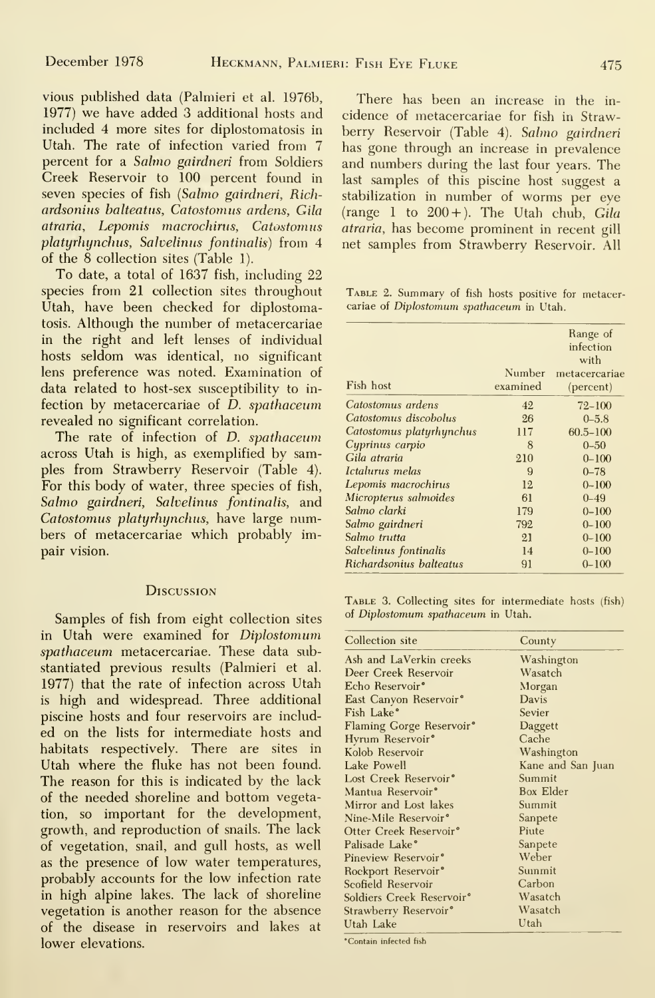vious published data (Palmieri et al. 1976b, 1977) we have added 3 additional hosts and included 4 more sites for diplostomatosis in Utah. The rate of infection varied from 7 percent for a Salmo gairdneri from Soldiers Creek Reservoir to 100 percent found in seven species of fish {Salmo gairdneri, Richardsonius balteatus, Catostomus ardens, Gila atraria, Lepomis macrochirus, Catostomus platyrhynchus, Salvelinus fontinalis) from 4 of the 8 collection sites (Table 1).

To date, a total of 1637 fish, including 22 species from 21 collection sites throughout Utah, have been checked for diplostomatosis. Although the number of metacercariae in the right and left lenses of individual hosts seldom was identical, no significant lens preference was noted. Examination of data related to host-sex susceptibility to in fection by metacercariae of D. spathaceum revealed no significant correlation.

The rate of infection of D. spathaceum across Utah is high, as exemplified by samples from Strawberry Reservoir (Table 4). For this body of water, three species of fish, Salmo gairdneri, Salvelinus fontinalis, and Catostomus platyrhynchus, have large numbers of metacercariae which probably impair vision.

## **Discussion**

Samples of fish from eight collection sites of Diplostomum spathaceum in Utah. in Utah were examined for Diplostomum spathaceum metacercariae. These data substantiated previous results (Palmieri et al. 1977) that the rate of infection across Utah is high and widespread. Three additional piscine hosts and four reservoirs are includ ed on the lists for intermediate hosts and habitats respectively. There are sites in Utah where the fluke has not been found. The reason for this is indicated by the lack of the needed shoreline and bottom vegetation, so important for the development, growth, and reproduction of snails. The lack of vegetation, snail, and gull hosts, as well as the presence of low water temperatures, probably accounts for the low infection rate in high alpine lakes. The lack of shoreline vegetation is another reason for the absence of the disease in reservoirs and lakes at lower elevations.

There has been an increase in the in cidence of metacercariae for fish in Strawberry Reservoir (Table 4). Salmo gairdneri has gone through an increase in prevalence and numbers during the last four years. The last samples of this piscine host suggest a stabilization in number of worms per eye (range 1 to  $200 +$ ). The Utah chub, Gila atraria, has become prominent in recent gill net samples from Strawberry Reservoir. All

Table 2. Summary of fish hosts positive for metacercariae of Diplostomum spathaceum in Utah.

|                          |                    | Range of<br>infection<br>with |
|--------------------------|--------------------|-------------------------------|
| Fish host                | Number<br>examined | metacercariae                 |
|                          |                    | (percent)                     |
| Catostomus ardens        | 42                 | $72 - 100$                    |
| Catostomus discobolus    | 26                 | $0 - 5.8$                     |
| Catostomus platyrhynchus | 117                | $60.5 - 100$                  |
| Cyprinus carpio          | 8                  | $0 - 50$                      |
| Gila atraria             | 210                | $0 - 100$                     |
| Ictalurus melas          | 9                  | $0 - 78$                      |
| Lepomis macrochirus      | 12                 | $0 - 100$                     |
| Micropterus salmoides    | 61                 | $0 - 49$                      |
| Salmo clarki             | 179                | $0 - 100$                     |
| Salmo gairdneri          | 792                | $0 - 100$                     |
| Salmo trutta             | 21                 | $0 - 100$                     |
| Salvelinus fontinalis    | 14                 | $0 - 100$                     |
| Richardsonius balteatus  | 91                 | $0 - 100$                     |

TABLE 3. Collecting sites for intermediate hosts (fish)

| Collection site                       | County            |
|---------------------------------------|-------------------|
| Ash and LaVerkin creeks               | Washington        |
| Deer Creek Reservoir                  | Wasatch           |
| Echo Reservoir <sup>•</sup>           | Morgan            |
| East Canyon Reservoir <sup>®</sup>    | Davis             |
| Fish Lake°                            | Sevier            |
| <b>Flaming Gorge Reservoir®</b>       | Daggett           |
| Hyrum Reservoir <sup>®</sup>          | Cache             |
| Kolob Reservoir                       | Washington        |
| Lake Powell                           | Kane and San Juan |
| Lost Creek Reservoir <sup>®</sup>     | Summit            |
| Mantua Reservoir°                     | Box Elder         |
| Mirror and Lost lakes                 | Summit            |
| Nine-Mile Reservoir <sup>°</sup>      | Sanpete           |
| Otter Creek Reservoir <sup>o</sup>    | Piute             |
| Palisade Lake°                        | Sanpete           |
| Pineview Reservoir <sup>®</sup>       | Weber             |
| Rockport Reservoir°                   | Summit            |
| Scofield Reservoir                    | Carbon            |
| Soldiers Creek Reservoir <sup>®</sup> | Wasatch           |
| Strawberry Reservoir <sup>®</sup>     | Wasatch           |
| Utah Lake                             | Utah              |

\*Contain infected fish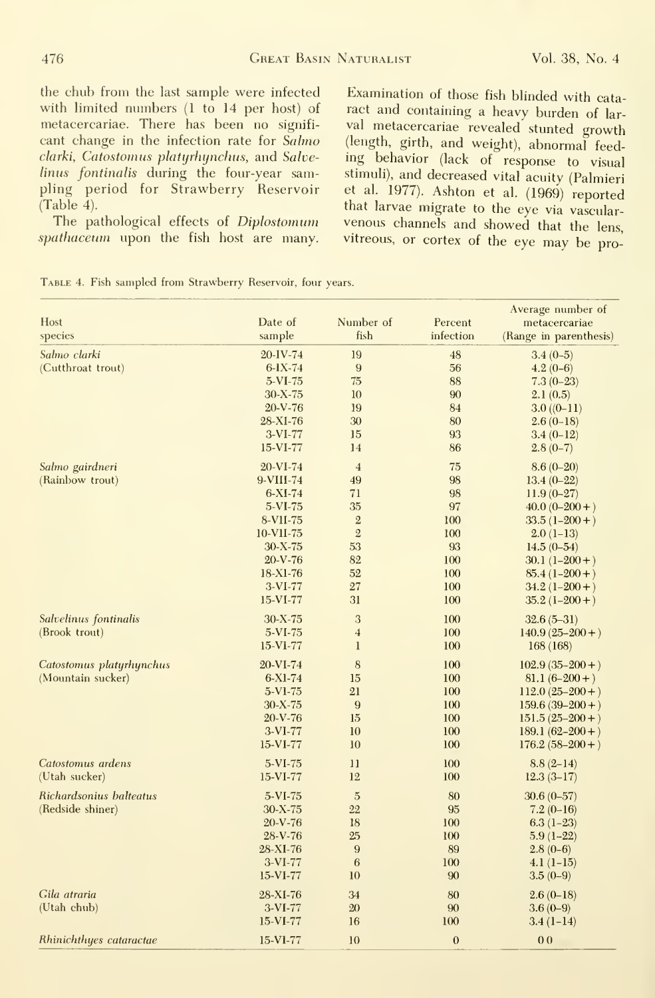the chub from the last sample were infected with limited mimbers (1 to 14 per host) of metacercariae. There has been no signifi cant change in the infection rate for Salmo clarki, Catostomus platyrhynchus, and Salvelinus fontinalis during the four-year sampling period for Strawberry Reservoir (Table 4).

The pathological effects of Diplostomum spathaceum upon the fish host are many.

Examination of those fish blinded with cataract and containing <sup>a</sup> heavy burden of lar val metacercariae revealed stunted growth (length, girth, and weight), abnormal feed ing behavior (lack of response to visual stimuli), and decreased vital acuity (Palmieri et al. 1977). Ashton et al. (1969) reported that larvae migrate to the eye via vascular venous channels and showed that the lens, vitreous, or cortex of the eye may be pro-

| TABLE 4. Fish sampled from Strawberry Reservoir, four years. |  |  |  |  |  |
|--------------------------------------------------------------|--|--|--|--|--|
|--------------------------------------------------------------|--|--|--|--|--|

| Host                     | Date of       | Number of      | Percent          | Average number of<br>metacercariae |
|--------------------------|---------------|----------------|------------------|------------------------------------|
| species                  | sample        | fish           | infection        | (Range in parenthesis)             |
| Salmo clarki             | 20-IV-74      | 19             | 48               | $3.4(0-5)$                         |
| (Cutthroat trout)        | $6-1X-74$     | $\overline{9}$ | 56               | $4.2(0-6)$                         |
|                          | 5-VI-75       | 75             | 88               | $7.3(0-23)$                        |
|                          | $30 - X - 75$ | 10             | 90               | 2.1(0.5)                           |
|                          | $20-V-76$     | 19             | 84               | $3.0((0-11)$                       |
|                          | 28-XI-76      | 30             | 80               | $2.6(0-18)$                        |
|                          | $3-VI-77$     | 15             | 93               | $3.4(0-12)$                        |
|                          | $15-VI-77$    | 14             | 86               | $2.8(0-7)$                         |
| Salmo gairdneri          | 20-VI-74      | $\overline{4}$ | 75               | $8.6(0-20)$                        |
| (Rainbow trout)          | 9-VIII-74     | 49             | 98               | $13.4(0-22)$                       |
|                          | $6-XI-74$     | 71             | 98               | $11.9(0-27)$                       |
|                          | 5-VI-75       | 35             | 97               | $40.0(0-200+)$                     |
|                          | 8-VII-75      | $\overline{2}$ | 100              | $33.5(1-200+)$                     |
|                          | 10-VII-75     | $\mathbf{2}$   | 100              | $2.0(1-13)$                        |
|                          | $30 - X - 75$ | 53             | 93               | $14.5(0-54)$                       |
|                          | $20-V-76$     | 82             | 100              | $30.1(1-200+)$                     |
|                          | 18-X1-76      | 52             | 100              | $85.4(1-200+)$                     |
|                          | $3-VI-77$     | 27             | 100              | $34.2(1-200+)$                     |
|                          | $15-VI-77$    | 31             | 100              | $35.2(1-200+)$                     |
| Salvelinus fontinalis    | $30 - X - 75$ | 3              | 100              | $32.6(5-31)$                       |
| (Brook trout)            | 5-VI-75       | $\overline{4}$ | 100              | $140.9(25-200+)$                   |
|                          | $15-V1-77$    | $\mathbf{1}$   | 100              | 168 (168)                          |
| Catostomus platyrhynchus | 20-VI-74      | 8              | 100              | $102.9(35-200+)$                   |
| (Mountain sucker)        | $6-X1-74$     | 15             | 100              | $81.1(6-200+)$                     |
|                          | 5-VI-75       | 21             | 100              | $112.0(25-200+)$                   |
|                          | $30 - X - 75$ | 9              | 100              | $159.6(39-200+)$                   |
|                          | $20 - V - 76$ | 15             | 100              | $151.5(25-200+)$                   |
|                          | $3-VI-77$     | 10             | 100              | $189.1(62 - 200 + )$               |
|                          | 15-VI-77      | 10             | 100              | $176.2(58-200+)$                   |
| Catostomus ardens        | $5-VI-75$     | 11             | 100              | $8.8(2-14)$                        |
| (Utah sucker)            | $15-VI-77$    | 12             | 100              | $12.3(3-17)$                       |
| Richardsonius balteatus  | 5-VI-75       | $\overline{5}$ | 80               | $30.6(0-57)$                       |
| (Redside shiner)         | $30 - X - 75$ | 22             | 95               | $7.2(0-16)$                        |
|                          | $20 - V - 76$ | 18             | 100              | $6.3(1-23)$                        |
|                          | $28-V-76$     | 25             | 100              | $5.9(1-22)$                        |
|                          | 28-XI-76      | 9              | 89               | $2.8(0-6)$                         |
|                          | $3-VI-77$     | 6              | 100              | $4.1(1-15)$                        |
|                          | 15-VI-77      | 10             | 90               | $3.5(0-9)$                         |
| Gila atraria             | 28-XI-76      | 34             | 80               | $2.6(0-18)$                        |
| (Utah chub)              | $3-VI-77$     | 20             | 90               | $3.6(0-9)$                         |
|                          | $15-VI-77$    | 16             | 100              | $3.4(1-14)$                        |
| Rhinichthyes cataractae  | 15-V1-77      | 10             | $\boldsymbol{0}$ | 0 <sub>0</sub>                     |